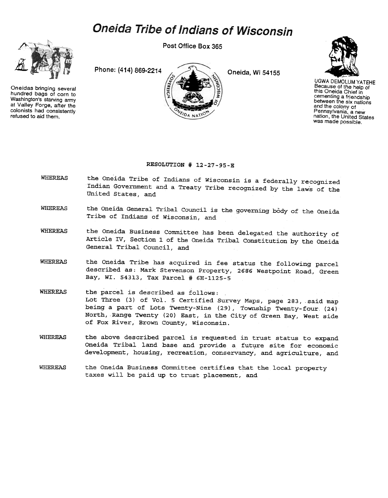## Oneida Tribe of Indians of Wisconsin

Post Office Box 365



Oneidas bringing several hundred bags of corn to Washington's starving army at Valley Forge, after the colonists had consistently refused to aid them.





UGWA DEMOLUM YATEHE Because of the help of this Oneida Chief in cementing a friendship between the six nations and the colony of Pennsylvania. a new nation, the United States was made possible.

## RESOLUTION # 12-27-95-E

- WHEREAS the Oneida Tribe of Indians of Wisconsin is a federally recognized Indian Government and a Treaty Tribe recognized by the laws of the United States, and
- WHEREAS the Oneida General Tribal Council is the governing body of the Oneida Tribe of Indians of Wisconsin, and
- WHEREAS the Oneida Business Committee has been delegated the authority of Article rv, Section 1 of the Oneida Tribal Constitution by the Oneida General Tribal Council, and
- WHEREAS the Oneida Tribe has acquired in fee status the following parcel described as: Mark Stevenson Property, 2686 Westpoint Road, Green Bay, WI. 54313, Tax Parcel # 6H-1125-5
- WHEREAS the parcel is described as follows: Lot Three (3) of Vol. 5 Certified Survey Maps, page 283, said map being a part of Lots Twenty-Nine (29), Township Twenty-four (24) North, Range Twenty (20) East, in the City of Green Bay, West side of Fox River, Brown County, Wisconsin.
- WHEREAS the above described parcel is requested in trust status to expand Oneida Tribal land base and provide a future site for economic development, housing, recreation, conservancy, and agriculture, and
- WHEREAS the Oneida Business Committee certifies that the local property taxes will be paid up to trust placement, and